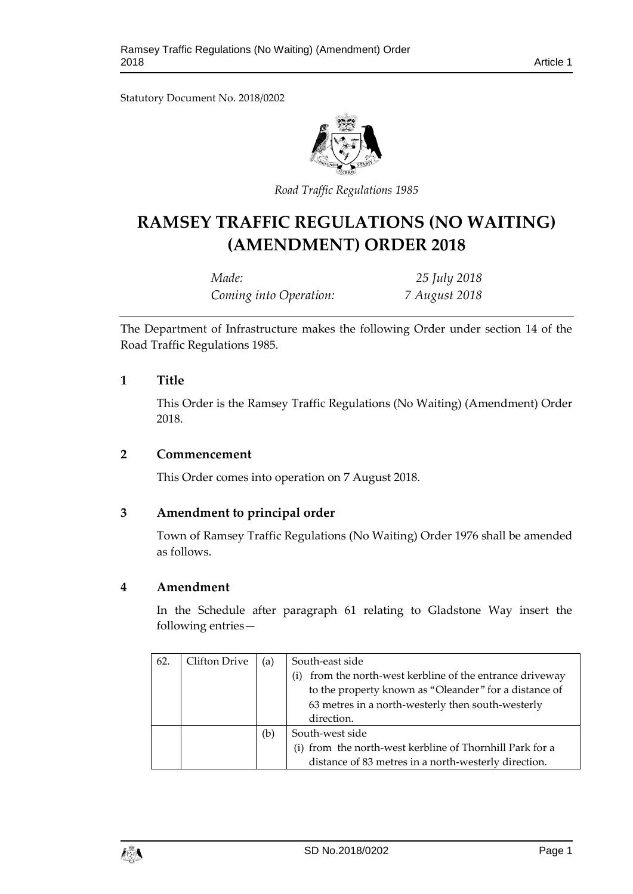Statutory Document No. 2018/0202



*Road Traffic Regulations 1985*

# **RAMSEY TRAFFIC REGULATIONS (NO WAITING) (AMENDMENT) ORDER 2018**

| Made:                  | 25 July 2018  |
|------------------------|---------------|
| Coming into Operation: | 7 August 2018 |

The Department of Infrastructure makes the following Order under section 14 of the Road Traffic Regulations 1985.

## **1 Title**

This Order is the Ramsey Traffic Regulations (No Waiting) (Amendment) Order 2018.

#### **2 Commencement**

This Order comes into operation on 7 August 2018.

## **3 Amendment to principal order**

Town of Ramsey Traffic Regulations (No Waiting) Order 1976 shall be amended as follows.

## **4 Amendment**

In the Schedule after paragraph 61 relating to Gladstone Way insert the following entries—

| 62. | Clifton Drive | (a) | South-east side                                              |
|-----|---------------|-----|--------------------------------------------------------------|
|     |               |     | from the north-west kerbline of the entrance driveway<br>(i) |
|     |               |     | to the property known as "Oleander" for a distance of        |
|     |               |     | 63 metres in a north-westerly then south-westerly            |
|     |               |     | direction.                                                   |
|     |               | (b) | South-west side                                              |
|     |               |     | (i) from the north-west kerbline of Thornhill Park for a     |
|     |               |     | distance of 83 metres in a north-westerly direction.         |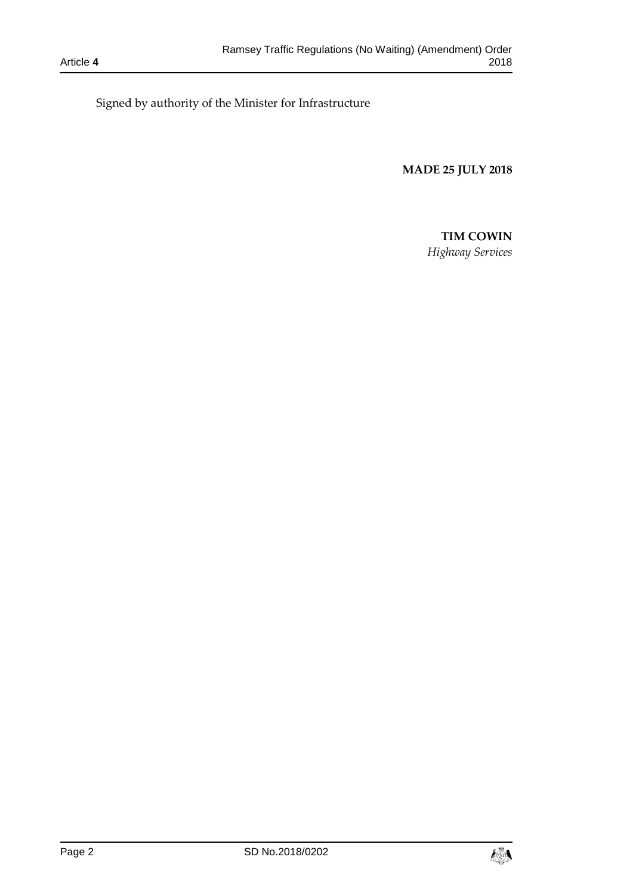Signed by authority of the Minister for Infrastructure

**MADE 25 JULY 2018**

#### **TIM COWIN**

*Highway Services*